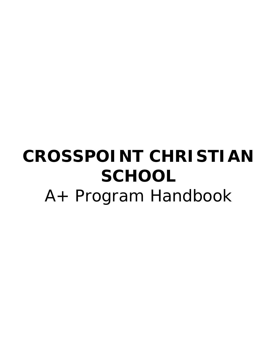# **CROSSPOINT CHRISTIAN SCHOOL**  A+ Program Handbook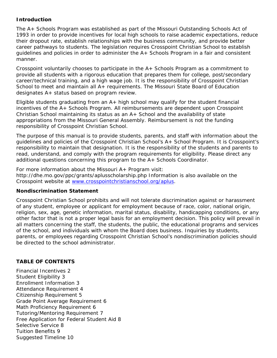## **Introduction**

The A+ Schools Program was established as part of the Missouri Outstanding Schools Act of 1993 in order to provide incentives for local high schools to raise academic expectations, reduce their dropout rate, establish relationships with the business community, and provide better career pathways to students. The legislation requires Crosspoint Christian School to establish guidelines and policies in order to administer the A+ Schools Program in a fair and consistent manner.

Crosspoint voluntarily chooses to participate in the A+ Schools Program as a commitment to provide all students with a rigorous education that prepares them for college, post/secondary career/technical training, and a high wage job. It is the responsibility of Crosspoint Christian School to meet and maintain all A+ requirements. The Missouri State Board of Education designates A+ status based on program review.

Eligible students graduating from an A+ high school may qualify for the student financial incentives of the A+ Schools Program. All reimbursements are dependent upon Crosspoint Christian School maintaining its status as an A+ School and the availability of state appropriations from the Missouri General Assembly. Reimbursement is not the funding responsibility of Crosspoint Christian School.

The purpose of this manual is to provide students, parents, and staff with information about the guidelines and policies of the Crosspoint Christian School's A+ School Program. It is Crosspoint's responsibility to maintain that designation. It is the responsibility of the students and parents to read, understand, and comply with the program requirements for eligibility. Please direct any additional questions concerning this program to the A+ Schools Coordinator.

For more information about the Missouri A+ Program visit: http://dhe.mo.gov/ppc/grants/aplusscholarship.php Information is also available on the Crosspoint website at www.crosspointchristianschool.org/aplus.

#### **Nondiscrimination Statement**

Crosspoint Christian School prohibits and will not tolerate discrimination against or harassment of any student, employee or applicant for employment because of race, color, national origin, religion, sex, age, genetic information, marital status, disability, handicapping conditions, or any other factor that is not a proper legal basis for an employment decision. This policy will prevail in all matters concerning the staff, the students, the public, the educational programs and services of the school, and individuals with whom the Board does business. Inquiries by students, parents, or employees regarding Crosspoint Christian School's nondiscrimination policies should be directed to the school administrator.

# **TABLE OF CONTENTS**

Financial Incentives 2 Student Eligibility 3 Enrollment Information 3 Attendance Requirement 4 Citizenship Requirement 5 Grade Point Average Requirement 6 Math Proficiency Requirement 6 Tutoring/Mentoring Requirement 7 Free Application for Federal Student Aid 8 Selective Service 8 Tuition Benefits 9 Suggested Timeline 10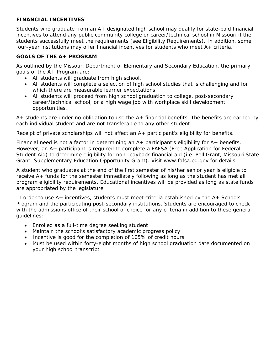# **FINANCIAL INCENTIVES**

Students who graduate from an A+ designated high school may qualify for state-paid financial incentives to attend any public community college or career/technical school in Missouri if the students successfully meet the requirements (see Eligibility Requirements). In addition, some four-year institutions may offer financial incentives for students who meet A+ criteria.

# **GOALS OF THE A+ PROGRAM**

As outlined by the Missouri Department of Elementary and Secondary Education, the primary goals of the A+ Program are:

- All students will graduate from high school.
- All students will complete a selection of high school studies that is challenging and for which there are measurable learner expectations.
- All students will proceed from high school graduation to college, post-secondary career/technical school, or a high wage job with workplace skill development opportunities.

 $A+$  students are under no obligation to use the  $A+$  financial benefits. The benefits are earned by each individual student and are not transferable to any other student.

Receipt of private scholarships will not affect an A+ participant's eligibility for benefits.

Financial need is not a factor in determining an  $A+$  participant's eligibility for  $A+$  benefits. However, an A+ participant is required to complete a FAFSA (Free Application for Federal Student Aid) to determine eligibility for non- payback financial aid (i.e. Pell Grant, Missouri State Grant, Supplementary Education Opportunity Grant). Visit www.fafsa.ed.gov for details.

A student who graduates at the end of the first semester of his/her senior year is eligible to receive A+ funds for the semester immediately following as long as the student has met all program eligibility requirements. Educational incentives will be provided as long as state funds are appropriated by the legislature.

In order to use A+ incentives, students must meet criteria established by the A+ Schools Program and the participating post-secondary institutions. Students are encouraged to check with the admissions office of their school of choice for any criteria in addition to these general guidelines:

- Enrolled as a full-time degree seeking student
- Maintain the school's satisfactory academic progress policy
- Incentive is good for the completion of 105% of credit hours
- Must be used within forty-eight months of high school graduation date documented on your high school transcript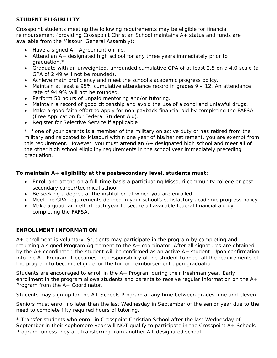# **STUDENT ELIGIBILITY**

Crosspoint students meeting the following requirements may be eligible for financial reimbursement (providing Crosspoint Christian School maintains A+ status and funds are available from the Missouri General Assembly):

- Have a signed A+ Agreement on file.
- Attend an A+ designated high school for any three years immediately prior to graduation.\*
- Graduate with an unweighted, unrounded cumulative GPA of at least 2.5 on a 4.0 scale (a GPA of 2.49 will not be rounded).
- Achieve math proficiency and meet the school's academic progress policy.
- Maintain at least a 95% cumulative attendance record in grades 9 12. An attendance rate of 94.9% will not be rounded.
- Perform 50 hours of unpaid mentoring and/or tutoring.
- Maintain a record of good citizenship and avoid the use of alcohol and unlawful drugs.
- Make a good faith effort to apply for non-payback financial aid by completing the FAFSA (Free Application for Federal Student Aid).
- Register for Selective Service if applicable

\* If one of your parents is a member of the military on active duty or has retired from the military and relocated to Missouri within one year of his/her retirement, you are exempt from this requirement. However, you must attend an A+ designated high school and meet all of the other high school eligibility requirements in the school year immediately preceding graduation.

# **To maintain A+ eligibility at the postsecondary level, students must:**

- Enroll and attend on a full-time basis a participating Missouri community college or postsecondary career/technical school.
- Be seeking a degree at the institution at which you are enrolled.
- Meet the GPA requirements defined in your school's satisfactory academic progress policy.
- Make a good faith effort each year to secure all available federal financial aid by completing the FAFSA.

# **ENROLLMENT INFORMATION**

A+ enrollment is voluntary. Students may participate in the program by completing and returning a signed Program Agreement to the A+ coordinator. After all signatures are obtained by the A+ coordinator, the student will be confirmed as an active A+ student. Upon confirmation into the A+ Program it becomes the responsibility of the student to meet all the requirements of the program to become eligible for the tuition reimbursement upon graduation.

Students are encouraged to enroll in the A+ Program during their freshman year. Early enrollment in the program allows students and parents to receive regular information on the  $A<sub>+</sub>$ Program from the A+ Coordinator.

Students may sign up for the A+ Schools Program at any time between grades nine and eleven.

Seniors must enroll no later than the last Wednesday in September of the senior year due to the need to complete fifty required hours of tutoring.

\* Transfer students who enroll in Crosspoint Christian School after the last Wednesday of September in their sophomore year will NOT qualify to participate in the Crosspoint A+ Schools Program, unless they are transferring from another A+ designated school.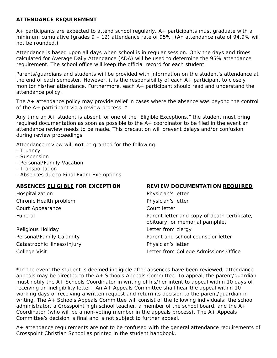#### **ATTENDANCE REQUIREMENT**

A+ participants are expected to attend school regularly. A+ participants must graduate with a minimum cumulative (grades  $9 - 12$ ) attendance rate of 95%. (An attendance rate of 94.9% will not be rounded.)

Attendance is based upon all days when school is in regular session. Only the days and times calculated for Average Daily Attendance (ADA) will be used to determine the 95% attendance requirement. The school office will keep the official record for each student.

Parents/guardians and students will be provided with information on the student's attendance at the end of each semester. However, it is the responsibility of each A+ participant to closely monitor his/her attendance. Furthermore, each A+ participant should read and understand the attendance policy.

The A+ attendance policy may provide relief in cases where the absence was beyond the control of the A+ participant via a review process. \*

Any time an A+ student is absent for one of the "Eligible Exceptions," the student must bring required documentation as soon as possible to the  $A<sub>+</sub>$  coordinator to be filed in the event an attendance review needs to be made. This precaution will prevent delays and/or confusion during review proceedings.

Attendance review will **not** be granted for the following:

- Truancy
- Suspension
- Personal/Family Vacation
- Transportation
- Absences due to Final Exam Exemptions

| ABSENCES ELIGIBLE FOR EXCEPTION | <b>REVIEW DOCUMENTATION REQUIRED</b>                                           |
|---------------------------------|--------------------------------------------------------------------------------|
| Hospitalization                 | Physician's letter                                                             |
| Chronic Health problem          | Physician's letter                                                             |
| Court Appearance                | Court letter                                                                   |
| <b>Funeral</b>                  | Parent letter and copy of death certificate,<br>obituary, or memorial pamphlet |
| Religious Holiday               | Letter from clergy                                                             |
| Personal/Family Calamity        | Parent and school counselor letter                                             |
| Catastrophic illness/injury     | Physician's letter                                                             |
| College Visit                   | Letter from College Admissions Office                                          |

\*In the event the student is deemed ineligible after absences have been reviewed, attendance appeals may be directed to the A+ Schools Appeals Committee. To appeal, the parent/guardian must notify the A+ Schools Coordinator in writing of his/her intent to appeal within 10 days of receiving an ineligibility letter. An A+ Appeals Committee shall hear the appeal within 10 working days of receiving a written request and return its decision to the parent/guardian in writing. The A+ Schools Appeals Committee will consist of the following individuals: the school administrator, a Crosspoint high school teacher, a member of the school board, and the A+ Coordinator (who will be a non-voting member in the appeals process). The  $A+$  Appeals Committee's decision is final and is not subject to further appeal.

A+ attendance requirements are not to be confused with the general attendance requirements of Crosspoint Christian School as printed in the student handbook.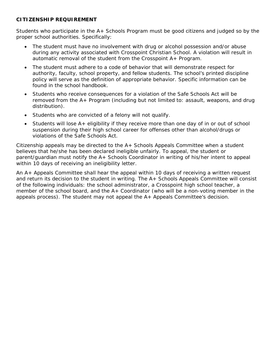#### **CITIZENSHIP REQUIREMENT**

Students who participate in the A+ Schools Program must be good citizens and judged so by the proper school authorities. Specifically:

- The student must have no involvement with drug or alcohol possession and/or abuse during any activity associated with Crosspoint Christian School. A violation will result in automatic removal of the student from the Crosspoint A+ Program.
- The student must adhere to a code of behavior that will demonstrate respect for authority, faculty, school property, and fellow students. The school's printed discipline policy will serve as the definition of appropriate behavior. Specific information can be found in the school handbook.
- Students who receive consequences for a violation of the Safe Schools Act will be removed from the A+ Program (including but not limited to: assault, weapons, and drug distribution).
- Students who are convicted of a felony will not qualify.
- Students will lose A+ eligibility if they receive more than one day of in or out of school suspension during their high school career for offenses other than alcohol/drugs or violations of the Safe Schools Act.

Citizenship appeals may be directed to the A+ Schools Appeals Committee when a student believes that he/she has been declared ineligible unfairly. To appeal, the student or parent/guardian must notify the A+ Schools Coordinator in writing of his/her intent to appeal within 10 days of receiving an ineligibility letter.

An A+ Appeals Committee shall hear the appeal within 10 days of receiving a written request and return its decision to the student in writing. The A+ Schools Appeals Committee will consist of the following individuals: the school administrator, a Crosspoint high school teacher, a member of the school board, and the A+ Coordinator (who will be a non-voting member in the appeals process). The student may not appeal the A+ Appeals Committee's decision.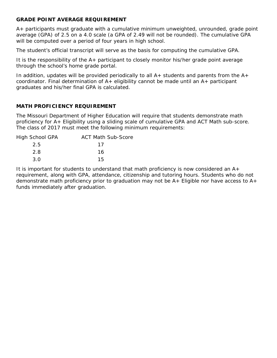#### **GRADE POINT AVERAGE REQUIREMENT**

A+ participants must graduate with a cumulative minimum unweighted, unrounded, grade point average (GPA) of 2.5 on a 4.0 scale (a GPA of 2.49 will not be rounded). The cumulative GPA will be computed over a period of four years in high school.

The student's official transcript will serve as the basis for computing the cumulative GPA.

It is the responsibility of the A+ participant to closely monitor his/her grade point average through the school's home grade portal.

In addition, updates will be provided periodically to all  $A+$  students and parents from the  $A+$ coordinator. Final determination of  $A+$  eligibility cannot be made until an  $A+$  participant graduates and his/her final GPA is calculated.

## **MATH PROFICIENCY REQUIREMENT**

The Missouri Department of Higher Education will require that students demonstrate math proficiency for A+ Eligibility using a sliding scale of cumulative GPA and ACT Math sub-score. The class of 2017 must meet the following minimum requirements:

| High School GPA | <b>ACT Math Sub-Score</b> |
|-----------------|---------------------------|
| 2.5             | 17                        |
| 2.8             | 16                        |
| 3.O             | 15                        |

It is important for students to understand that math proficiency is now considered an A+ requirement, along with GPA, attendance, citizenship and tutoring hours. Students who do not demonstrate math proficiency prior to graduation may not be A+ Eligible nor have access to A+ funds immediately after graduation.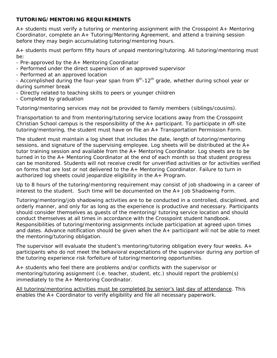## **TUTORING/MENTORING REQUIREMENTS**

A+ students must verify a tutoring or mentoring assignment with the Crosspoint A+ Mentoring Coordinator, complete an A+ Tutoring/Mentoring Agreement, and attend a training session before they may begin accumulating tutoring/mentoring hours.

A+ students must perform fifty hours of unpaid mentoring/tutoring. All tutoring/mentoring must be:

- Pre-approved by the A+ Mentoring Coordinator
- Performed under the direct supervision of an approved supervisor
- Performed at an approved location

- Accomplished during the four-year span from  $9<sup>th</sup>$ -12<sup>th</sup> grade, whether during school year or during summer break

- Directly related to teaching skills to peers or younger children
- Completed by graduation

Tutoring/mentoring services may not be provided to family members (siblings/cousins).

Transportation to and from mentoring/tutoring service locations away from the Crosspoint Christian School campus is the responsibility of the  $A+$  participant. To participate in off-site tutoring/mentoring, the student must have on file an A+ Transportation Permission Form.

The student must maintain a log sheet that includes the date, length of tutoring/mentoring sessions, and signature of the supervising employee. Log sheets will be distributed at the A+ tutor training session and available from the A+ Mentoring Coordinator. Log sheets are to be turned in to the A+ Mentoring Coordinator at the end of each month so that student progress can be monitored. Students will not receive credit for unverified activities or for activities verified on forms that are lost or not delivered to the A+ Mentoring Coordinator. Failure to turn in authorized log sheets could jeopardize eligibility in the A+ Program.

Up to 8 hours of the tutoring/mentoring requirement may consist of job shadowing in a career of interest to the student. Such time will be documented on the A+ Job Shadowing Form.

Tutoring/mentoring/job shadowing activities are to be conducted in a controlled, disciplined, and orderly manner, and only for as long as the experience is productive and necessary. Participants should consider themselves as guests of the mentoring/ tutoring service location and should conduct themselves at all times in accordance with the Crosspoint student handbook. Responsibilities of tutoring/mentoring assignments include participation at agreed upon times and dates. Advance notification should be given when the A+ participant will not be able to meet the mentoring/tutoring obligation.

The supervisor will evaluate the student's mentoring/tutoring obligation every four weeks. A+ participants who do not meet the behavioral expectations of the supervisor during any portion of the tutoring experience risk forfeiture of tutoring/mentoring opportunities.

A+ students who feel there are problems and/or conflicts with the supervisor or mentoring/tutoring assignment (i.e. teacher, student, etc.) should report the problem(s) immediately to the A+ Mentoring Coordinator.

All tutoring/mentoring activities must be completed by senior's last day of attendance. This enables the A+ Coordinator to verify eligibility and file all necessary paperwork.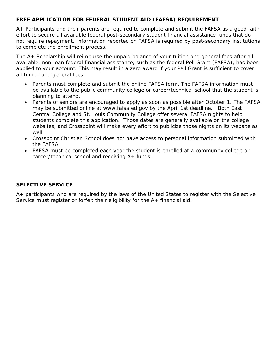## **FREE APPLICATION FOR FEDERAL STUDENT AID (FAFSA) REQUIREMENT**

A+ Participants and their parents are required to complete and submit the FAFSA as a good faith effort to secure all available federal post-secondary student financial assistance funds that do not require repayment. Information reported on FAFSA is required by post-secondary institutions to complete the enrollment process.

The A+ Scholarship will reimburse the unpaid balance of your tuition and general fees after all available, non-loan federal financial assistance, such as the federal Pell Grant (FAFSA), has been applied to your account. This may result in a zero award if your Pell Grant is sufficient to cover all tuition and general fees.

- Parents must complete and submit the online FAFSA form. The FAFSA information must be available to the public community college or career/technical school that the student is planning to attend.
- Parents of seniors are encouraged to apply as soon as possible after October 1. The FAFSA may be submitted online at www.fafsa.ed.gov by the April 1st deadline. Both East Central College and St. Louis Community College offer several FAFSA nights to help students complete this application. Those dates are generally available on the college websites, and Crosspoint will make every effort to publicize those nights on its website as well.
- Crosspoint Christian School does not have access to personal information submitted with the FAFSA.
- FAFSA must be completed each year the student is enrolled at a community college or career/technical school and receiving A+ funds.

#### **SELECTIVE SERVICE**

A+ participants who are required by the laws of the United States to register with the Selective Service must register or forfeit their eligibility for the A+ financial aid.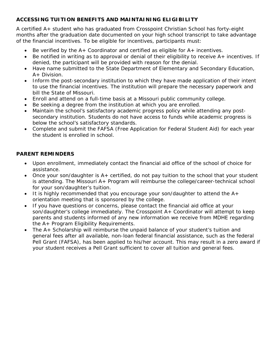# **ACCESSING TUITION BENEFITS AND MAINTAINING ELIGIBILITY**

A certified A+ student who has graduated from Crosspoint Christian School has forty-eight months after the graduation date documented on your high school transcript to take advantage of the financial incentives. To be eligible for incentives, participants must:

- Be verified by the  $A+$  Coordinator and certified as eligible for  $A+$  incentives.
- Be notified in writing as to approval or denial of their eligibility to receive A+ incentives. If denied, the participant will be provided with reason for the denial.
- Have name submitted to the State Department of Elementary and Secondary Education, A+ Division.
- Inform the post-secondary institution to which they have made application of their intent to use the financial incentives. The institution will prepare the necessary paperwork and bill the State of Missouri.
- Enroll and attend on a full-time basis at a Missouri public community college.
- Be seeking a degree from the institution at which you are enrolled.
- Maintain the school's satisfactory academic progress policy while attending any postsecondary institution. Students do not have access to funds while academic progress is below the school's satisfactory standards.
- Complete and submit the FAFSA (Free Application for Federal Student Aid) for each year the student is enrolled in school.

# **PARENT REMINDERS**

- Upon enrollment, immediately contact the financial aid office of the school of choice for assistance.
- Once your son/daughter is A+ certified, do not pay tuition to the school that your student is attending. The Missouri A+ Program will reimburse the college/career-technical school for your son/daughter's tuition.
- It is highly recommended that you encourage your son/daughter to attend the  $A+$ orientation meeting that is sponsored by the college.
- If you have questions or concerns, please contact the financial aid office at your son/daughter's college immediately. The Crosspoint A+ Coordinator will attempt to keep parents and students informed of any new information we receive from MDHE regarding the A+ Program Eligibility Requirements.
- The A+ Scholarship will reimburse the unpaid balance of your student's tuition and general fees after all available, non-loan federal financial assistance, such as the federal Pell Grant (FAFSA), has been applied to his/her account. This may result in a zero award if your student receives a Pell Grant sufficient to cover all tuition and general fees.